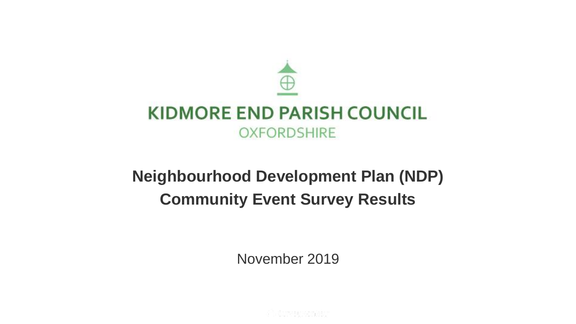

# **Neighbourhood Development Plan (NDP) Community Event Survey Results**

November 2019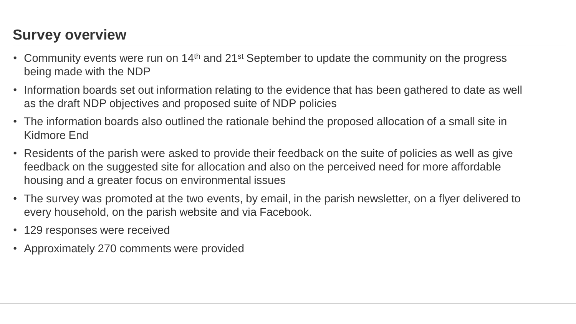## **Survey overview**

- Community events were run on 14<sup>th</sup> and 21<sup>st</sup> September to update the community on the progress being made with the NDP
- Information boards set out information relating to the evidence that has been gathered to date as well as the draft NDP objectives and proposed suite of NDP policies
- The information boards also outlined the rationale behind the proposed allocation of a small site in Kidmore End
- Residents of the parish were asked to provide their feedback on the suite of policies as well as give feedback on the suggested site for allocation and also on the perceived need for more affordable housing and a greater focus on environmental issues
- The survey was promoted at the two events, by email, in the parish newsletter, on a flyer delivered to every household, on the parish website and via Facebook.
- 129 responses were received
- Approximately 270 comments were provided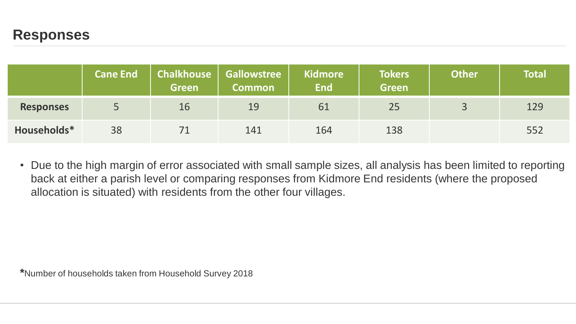#### **Responses**

|                  | <b>Cane End</b> | Chalkhouse  <br><b>Green</b> | <b>Gallowstree</b><br><b>Common</b> | <b>Kidmore</b><br><b>End</b> | <b>Tokers</b><br><b>Green</b> | <b>Other</b> | <b>Total</b> |
|------------------|-----------------|------------------------------|-------------------------------------|------------------------------|-------------------------------|--------------|--------------|
| <b>Responses</b> |                 | 16                           | 19                                  | 61                           | 25                            |              | 129          |
| Households*      | 38              |                              | 141                                 | 164                          | 138                           |              | 552          |

• Due to the high margin of error associated with small sample sizes, all analysis has been limited to reporting back at either a parish level or comparing responses from Kidmore End residents (where the proposed allocation is situated) with residents from the other four villages.

**\***Number of households taken from Household Survey 2018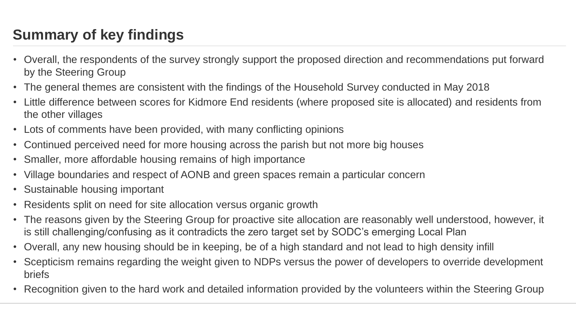## **Summary of key findings**

- Overall, the respondents of the survey strongly support the proposed direction and recommendations put forward by the Steering Group
- The general themes are consistent with the findings of the Household Survey conducted in May 2018
- Little difference between scores for Kidmore End residents (where proposed site is allocated) and residents from the other villages
- Lots of comments have been provided, with many conflicting opinions
- Continued perceived need for more housing across the parish but not more big houses
- Smaller, more affordable housing remains of high importance
- Village boundaries and respect of AONB and green spaces remain a particular concern
- Sustainable housing important
- Residents split on need for site allocation versus organic growth
- The reasons given by the Steering Group for proactive site allocation are reasonably well understood, however, it is still challenging/confusing as it contradicts the zero target set by SODC's emerging Local Plan
- Overall, any new housing should be in keeping, be of a high standard and not lead to high density infill
- Scepticism remains regarding the weight given to NDPs versus the power of developers to override development briefs
- Recognition given to the hard work and detailed information provided by the volunteers within the Steering Group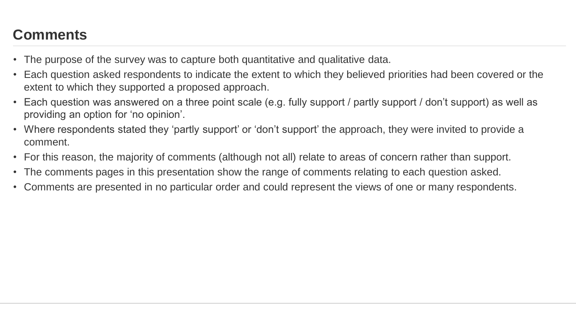- The purpose of the survey was to capture both quantitative and qualitative data.
- Each question asked respondents to indicate the extent to which they believed priorities had been covered or the extent to which they supported a proposed approach.
- Each question was answered on a three point scale (e.g. fully support / partly support / don't support) as well as providing an option for 'no opinion'.
- Where respondents stated they 'partly support' or 'don't support' the approach, they were invited to provide a comment.
- For this reason, the majority of comments (although not all) relate to areas of concern rather than support.
- The comments pages in this presentation show the range of comments relating to each question asked.
- Comments are presented in no particular order and could represent the views of one or many respondents.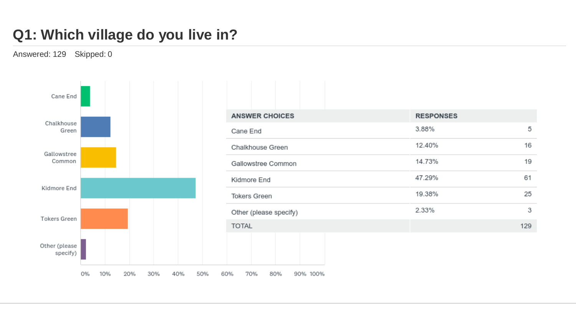## **Q1: Which village do you live in?**

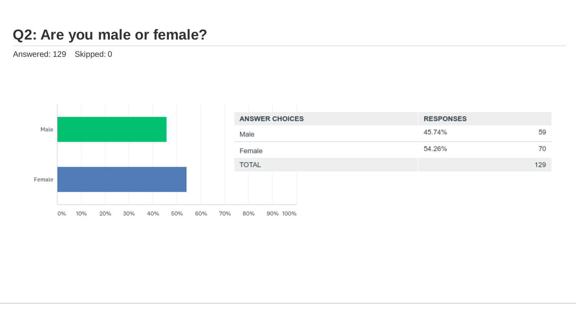#### **Q2: Are you male or female?**

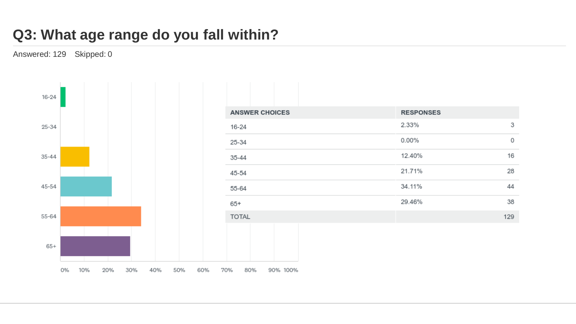## **Q3: What age range do you fall within?**

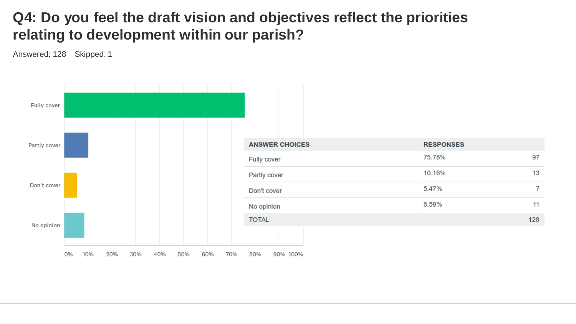## **Q4: Do you feel the draft vision and objectives reflect the priorities relating to development within our parish?**

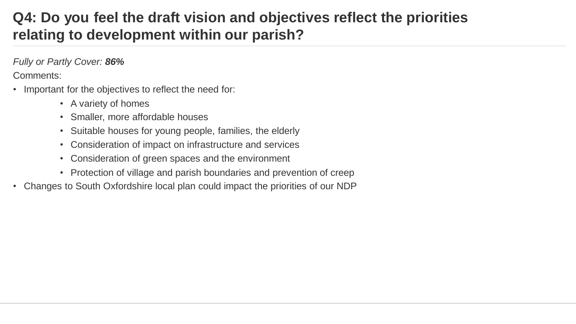## **Q4: Do you feel the draft vision and objectives reflect the priorities relating to development within our parish?**

*Fully or Partly Cover: 86%* 

- Important for the objectives to reflect the need for:
	- A variety of homes
	- Smaller, more affordable houses
	- Suitable houses for young people, families, the elderly
	- Consideration of impact on infrastructure and services
	- Consideration of green spaces and the environment
	- Protection of village and parish boundaries and prevention of creep
- Changes to South Oxfordshire local plan could impact the priorities of our NDP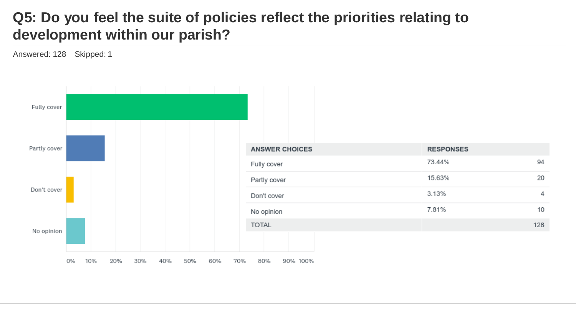#### **Q5: Do you feel the suite of policies reflect the priorities relating to development within our parish?**

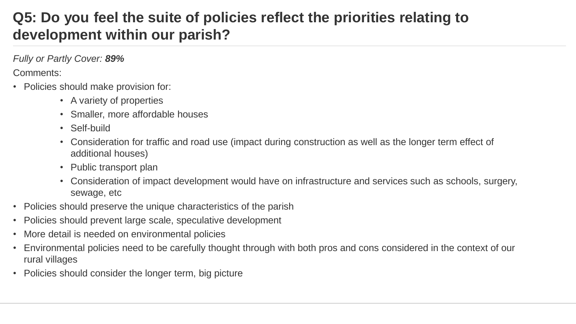## **Q5: Do you feel the suite of policies reflect the priorities relating to development within our parish?**

*Fully or Partly Cover: 89%*

- Policies should make provision for:
	- A variety of properties
	- Smaller, more affordable houses
	- Self-build
	- Consideration for traffic and road use (impact during construction as well as the longer term effect of additional houses)
	- Public transport plan
	- Consideration of impact development would have on infrastructure and services such as schools, surgery, sewage, etc
- Policies should preserve the unique characteristics of the parish
- Policies should prevent large scale, speculative development
- More detail is needed on environmental policies
- Environmental policies need to be carefully thought through with both pros and cons considered in the context of our rural villages
- Policies should consider the longer term, big picture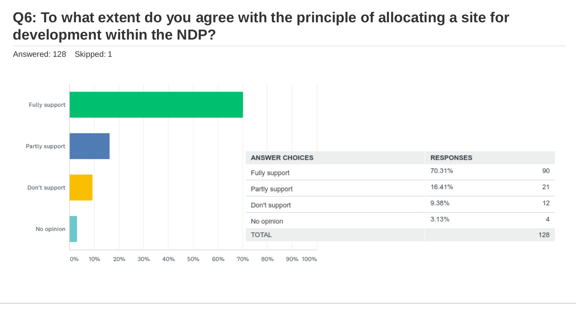#### **Q6: To what extent do you agree with the principle of allocating a site for development within the NDP?**

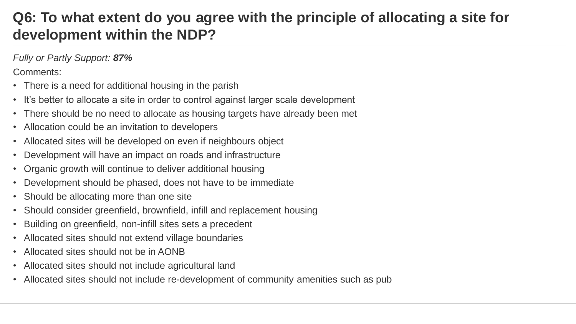## **Q6: To what extent do you agree with the principle of allocating a site for development within the NDP?**

*Fully or Partly Support: 87%*

- There is a need for additional housing in the parish
- It's better to allocate a site in order to control against larger scale development
- There should be no need to allocate as housing targets have already been met
- Allocation could be an invitation to developers
- Allocated sites will be developed on even if neighbours object
- Development will have an impact on roads and infrastructure
- Organic growth will continue to deliver additional housing
- Development should be phased, does not have to be immediate
- Should be allocating more than one site
- Should consider greenfield, brownfield, infill and replacement housing
- Building on greenfield, non-infill sites sets a precedent
- Allocated sites should not extend village boundaries
- Allocated sites should not be in AONB
- Allocated sites should not include agricultural land
- Allocated sites should not include re-development of community amenities such as pub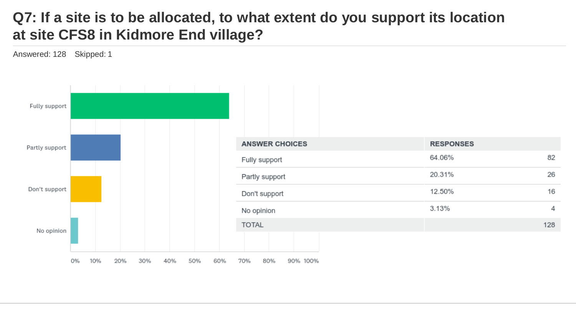## **Q7: If a site is to be allocated, to what extent do you support its location at site CFS8 in Kidmore End village?**

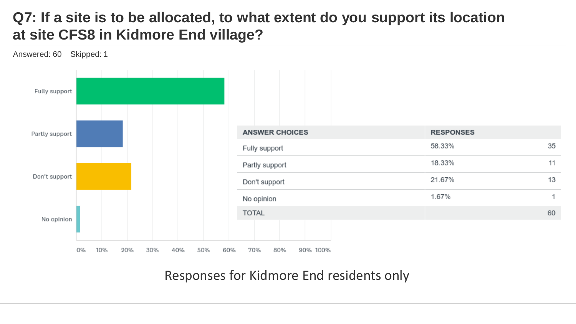## **Q7: If a site is to be allocated, to what extent do you support its location at site CFS8 in Kidmore End village?**



Responses for Kidmore End residents only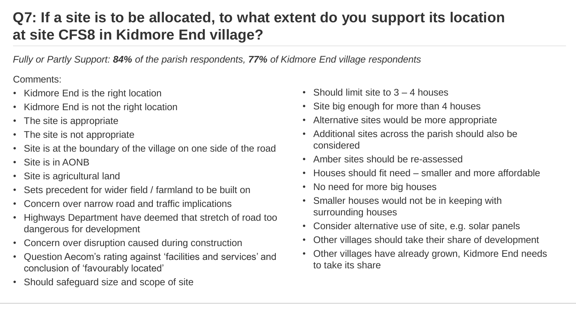## **Q7: If a site is to be allocated, to what extent do you support its location at site CFS8 in Kidmore End village?**

*Fully or Partly Support: 84% of the parish respondents, 77% of Kidmore End village respondents* 

- Kidmore End is the right location
- Kidmore End is not the right location
- The site is appropriate
- The site is not appropriate
- Site is at the boundary of the village on one side of the road
- Site is in AONB
- Site is agricultural land
- Sets precedent for wider field / farmland to be built on
- Concern over narrow road and traffic implications
- Highways Department have deemed that stretch of road too dangerous for development
- Concern over disruption caused during construction
- Question Aecom's rating against 'facilities and services' and conclusion of 'favourably located'
- Should safeguard size and scope of site
- Should limit site to  $3 4$  houses
- Site big enough for more than 4 houses
- Alternative sites would be more appropriate
- Additional sites across the parish should also be considered
- Amber sites should be re-assessed
- Houses should fit need smaller and more affordable
- No need for more big houses
- Smaller houses would not be in keeping with surrounding houses
- Consider alternative use of site, e.g. solar panels
- Other villages should take their share of development
- Other villages have already grown, Kidmore End needs to take its share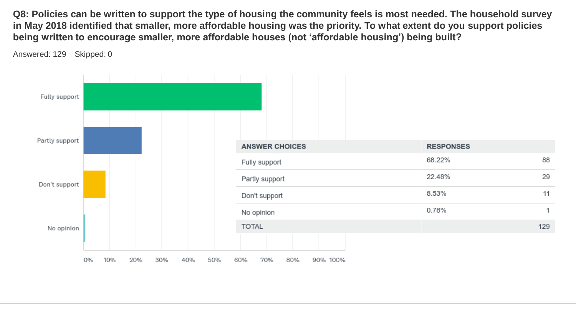**Q8: Policies can be written to support the type of housing the community feels is most needed. The household survey in May 2018 identified that smaller, more affordable housing was the priority. To what extent do you support policies being written to encourage smaller, more affordable houses (not 'affordable housing') being built?**

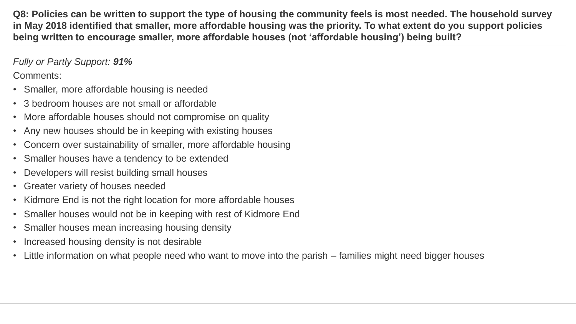**Q8: Policies can be written to support the type of housing the community feels is most needed. The household survey in May 2018 identified that smaller, more affordable housing was the priority. To what extent do you support policies being written to encourage smaller, more affordable houses (not 'affordable housing') being built?**

*Fully or Partly Support: 91%*

- Smaller, more affordable housing is needed
- 3 bedroom houses are not small or affordable
- More affordable houses should not compromise on quality
- Any new houses should be in keeping with existing houses
- Concern over sustainability of smaller, more affordable housing
- Smaller houses have a tendency to be extended
- Developers will resist building small houses
- Greater variety of houses needed
- Kidmore End is not the right location for more affordable houses
- Smaller houses would not be in keeping with rest of Kidmore End
- Smaller houses mean increasing housing density
- Increased housing density is not desirable
- Little information on what people need who want to move into the parish families might need bigger houses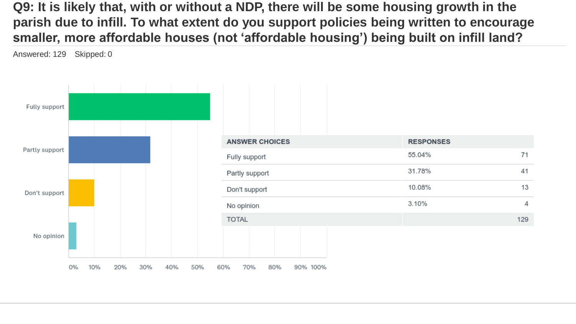**Q9: It is likely that, with or without a NDP, there will be some housing growth in the parish due to infill. To what extent do you support policies being written to encourage smaller, more affordable houses (not 'affordable housing') being built on infill land?**

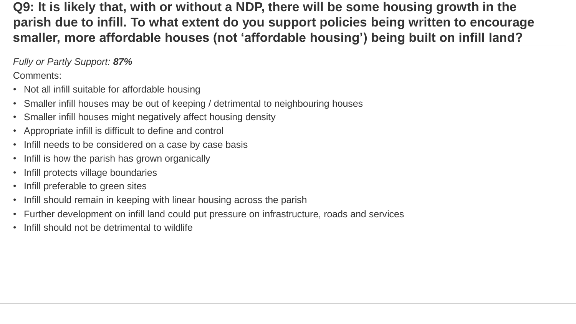**Q9: It is likely that, with or without a NDP, there will be some housing growth in the parish due to infill. To what extent do you support policies being written to encourage smaller, more affordable houses (not 'affordable housing') being built on infill land?**

*Fully or Partly Support: 87%*

- Not all infill suitable for affordable housing
- Smaller infill houses may be out of keeping / detrimental to neighbouring houses
- Smaller infill houses might negatively affect housing density
- Appropriate infill is difficult to define and control
- Infill needs to be considered on a case by case basis
- Infill is how the parish has grown organically
- Infill protects village boundaries
- Infill preferable to green sites
- Infill should remain in keeping with linear housing across the parish
- Further development on infill land could put pressure on infrastructure, roads and services
- Infill should not be detrimental to wildlife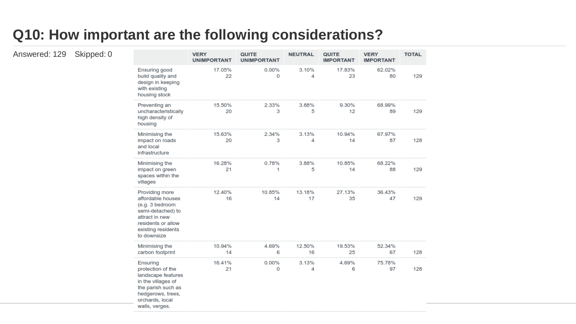#### **Q10: How important are the following considerations?**

|                                                                                                                                                           | <b>VERY</b><br><b>UNIMPORTANT</b> | QUITE<br><b>UNIMPORTANT</b> | <b>NEUTRAL</b> | QUITE<br><b>IMPORTANT</b> | <b>VERY</b><br><b>IMPORTANT</b> | <b>TOTAL</b> |
|-----------------------------------------------------------------------------------------------------------------------------------------------------------|-----------------------------------|-----------------------------|----------------|---------------------------|---------------------------------|--------------|
| Ensuring good<br>build quality and<br>design in keeping<br>with existing<br>housing stock                                                                 | 17.05%<br>22                      | 0.00%<br>0                  | 3.10%<br>4     | 17.83%<br>23              | 62.02%<br>80                    | 129          |
| Preventing an<br>uncharacteristically<br>high density of<br>housing                                                                                       | 15.50%<br>20                      | 2.33%<br>3                  | 3.88%<br>5     | 9.30%<br>12               | 68.99%<br>89                    | 129          |
| Minimising the<br>impact on roads<br>and local<br>infrastructure                                                                                          | 15.63%<br>20                      | 2.34%<br>3                  | 3.13%<br>4     | 10.94%<br>14              | 67.97%<br>87                    | 128          |
| Minimising the<br>impact on green<br>spaces within the<br>villages                                                                                        | 16.28%<br>21                      | 0.78%<br>1                  | 3.88%<br>5     | 10.85%<br>14              | 68.22%<br>88                    | 129          |
| Providing more<br>affordable houses<br>(e.g. 3 bedroom<br>semi-detached) to<br>attract in new<br>residents or allow<br>existing residents<br>to downsize  | 12.40%<br>16                      | 10.85%<br>14                | 13.18%<br>17   | 27.13%<br>35              | 36.43%<br>47                    | 129          |
| Minimising the<br>carbon footprint                                                                                                                        | 10.94%<br>14                      | 4.69%<br>6                  | 12.50%<br>16   | 19.53%<br>25              | 52.34%<br>67                    | 128          |
| Ensuring<br>protection of the<br>landscape features<br>in the villages of<br>the parish such as<br>hedgerows, trees,<br>orchards, local<br>walls, verges, | 16.41%<br>21                      | 0.00%<br>0                  | 3.13%<br>4     | 4.69%<br>6                | 75.78%<br>97                    | 128          |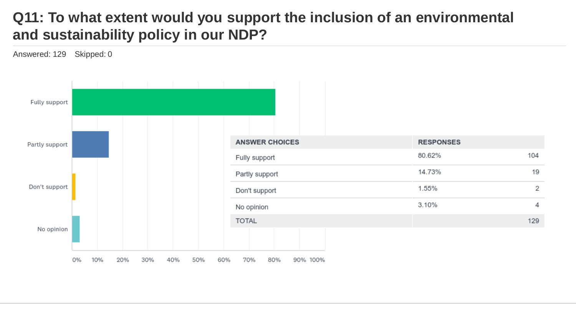## **Q11: To what extent would you support the inclusion of an environmental and sustainability policy in our NDP?**

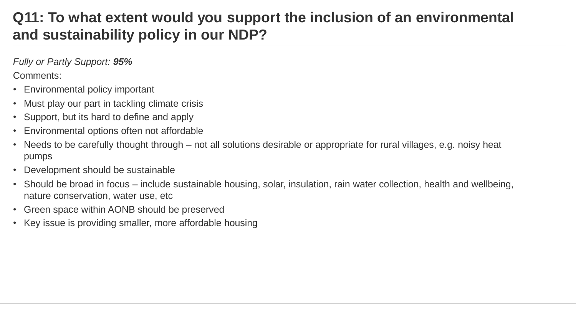## **Q11: To what extent would you support the inclusion of an environmental and sustainability policy in our NDP?**

*Fully or Partly Support: 95%*

- Environmental policy important
- Must play our part in tackling climate crisis
- Support, but its hard to define and apply
- Environmental options often not affordable
- Needs to be carefully thought through not all solutions desirable or appropriate for rural villages, e.g. noisy heat pumps
- Development should be sustainable
- Should be broad in focus include sustainable housing, solar, insulation, rain water collection, health and wellbeing, nature conservation, water use, etc
- Green space within AONB should be preserved
- Key issue is providing smaller, more affordable housing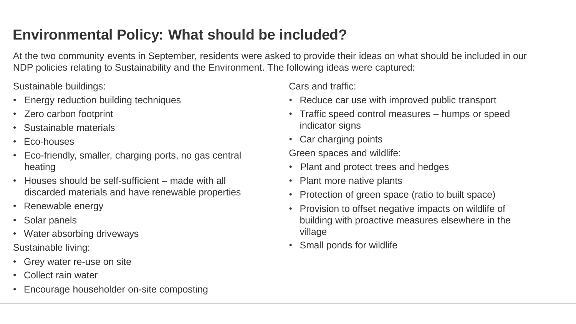## **Environmental Policy: What should be included?**

At the two community events in September, residents were asked to provide their ideas on what should be included in our NDP policies relating to Sustainability and the Environment. The following ideas were captured:

Sustainable buildings:

- Energy reduction building techniques
- Zero carbon footprint
- Sustainable materials
- Eco-houses
- Eco-friendly, smaller, charging ports, no gas central heating
- Houses should be self-sufficient made with all discarded materials and have renewable properties
- Renewable energy
- Solar panels
- Water absorbing driveways

Sustainable living:

- Grey water re-use on site
- Collect rain water
- Encourage householder on-site composting

Cars and traffic:

- Reduce car use with improved public transport
- Traffic speed control measures humps or speed indicator signs
- Car charging points

Green spaces and wildlife:

- Plant and protect trees and hedges
- Plant more native plants
- Protection of green space (ratio to built space)
- Provision to offset negative impacts on wildlife of building with proactive measures elsewhere in the village
- Small ponds for wildlife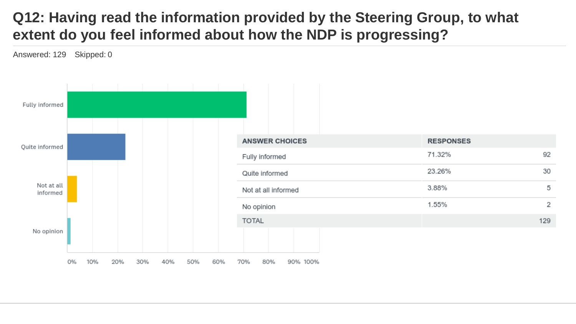## **Q12: Having read the information provided by the Steering Group, to what extent do you feel informed about how the NDP is progressing?**